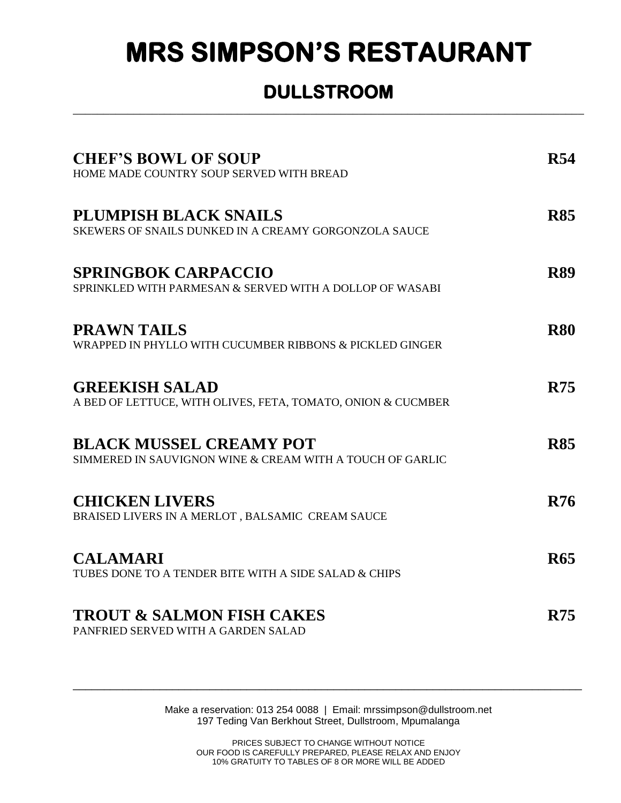## **MRS SIMPSON'S RESTAURANT**

## **DULLSTROOM**  \_\_\_\_\_\_\_\_\_\_\_\_\_\_\_\_\_\_\_\_\_\_\_\_\_\_\_\_\_\_\_\_\_\_\_\_\_\_\_\_\_\_\_\_\_\_\_\_\_\_\_\_\_\_\_\_\_\_\_\_\_\_\_\_\_\_\_\_\_\_\_\_\_\_\_\_\_\_\_\_\_\_\_\_

| <b>CHEF'S BOWL OF SOUP</b><br>HOME MADE COUNTRY SOUP SERVED WITH BREAD                      | <b>R54</b> |
|---------------------------------------------------------------------------------------------|------------|
| <b>PLUMPISH BLACK SNAILS</b><br>SKEWERS OF SNAILS DUNKED IN A CREAMY GORGONZOLA SAUCE       | <b>R85</b> |
| <b>SPRINGBOK CARPACCIO</b><br>SPRINKLED WITH PARMESAN & SERVED WITH A DOLLOP OF WASABI      | <b>R89</b> |
| <b>PRAWN TAILS</b><br>WRAPPED IN PHYLLO WITH CUCUMBER RIBBONS & PICKLED GINGER              | <b>R80</b> |
| <b>GREEKISH SALAD</b><br>A BED OF LETTUCE, WITH OLIVES, FETA, TOMATO, ONION & CUCMBER       | <b>R75</b> |
| <b>BLACK MUSSEL CREAMY POT</b><br>SIMMERED IN SAUVIGNON WINE & CREAM WITH A TOUCH OF GARLIC | <b>R85</b> |
| <b>CHICKEN LIVERS</b><br>BRAISED LIVERS IN A MERLOT, BALSAMIC CREAM SAUCE                   | <b>R76</b> |
| <b>CALAMARI</b><br>TUBES DONE TO A TENDER BITE WITH A SIDE SALAD & CHIPS                    | <b>R65</b> |
| <b>TROUT &amp; SALMON FISH CAKES</b><br>PANFRIED SERVED WITH A GARDEN SALAD                 | <b>R75</b> |

Make a reservation: 013 254 0088 | Email: mrssimpson@dullstroom.net 197 Teding Van Berkhout Street, Dullstroom, Mpumalanga

\_\_\_\_\_\_\_\_\_\_\_\_\_\_\_\_\_\_\_\_\_\_\_\_\_\_\_\_\_\_\_\_\_\_\_\_\_\_\_\_\_\_\_\_\_\_\_\_\_\_\_\_\_\_\_\_\_\_\_\_\_\_\_\_\_\_\_\_\_\_\_\_\_\_\_\_\_\_\_\_\_\_